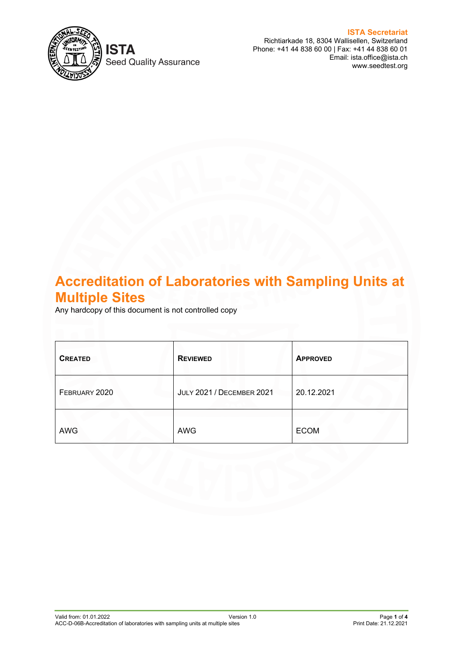

**Seed Quality Assurance** 

**ISTA Secretariat** Richtiarkade 18, 8304 Wallisellen, Switzerland Phone: +41 44 838 60 00 | Fax: +41 44 838 60 01 Email: ista.office@ista.ch www.seedtest.org

# **Accreditation of Laboratories with Sampling Units at Multiple Sites**

Any hardcopy of this document is not controlled copy

| <b>CREATED</b> | <b>REVIEWED</b>                  | <b>APPROVED</b> |
|----------------|----------------------------------|-----------------|
| FEBRUARY 2020  | <b>JULY 2021 / DECEMBER 2021</b> | 20.12.2021      |
| <b>AWG</b>     | <b>AWG</b>                       | <b>ECOM</b>     |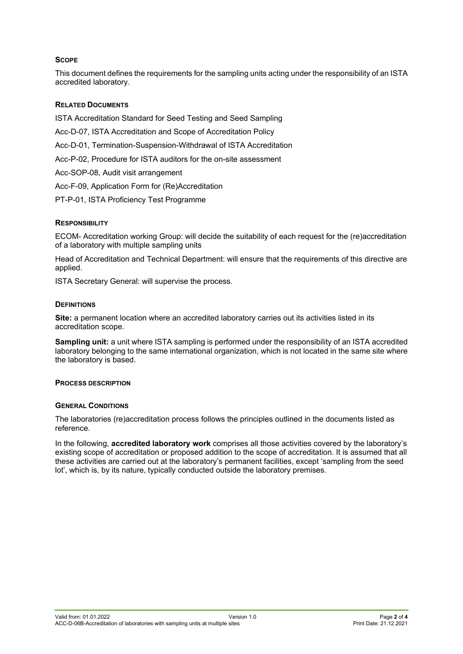## **SCOPE**

This document defines the requirements for the sampling units acting under the responsibility of an ISTA accredited laboratory.

## **RELATED DOCUMENTS**

ISTA Accreditation Standard for Seed Testing and Seed Sampling

- Acc-D-07, ISTA Accreditation and Scope of Accreditation Policy
- Acc-D-01, Termination-Suspension-Withdrawal of ISTA Accreditation
- Acc-P-02, Procedure for ISTA auditors for the on-site assessment
- Acc-SOP-08, Audit visit arrangement
- Acc-F-09, Application Form for (Re)Accreditation
- PT-P-01, ISTA Proficiency Test Programme

## **RESPONSIBILITY**

ECOM- Accreditation working Group: will decide the suitability of each request for the (re)accreditation of a laboratory with multiple sampling units

Head of Accreditation and Technical Department: will ensure that the requirements of this directive are applied.

ISTA Secretary General: will supervise the process.

### **DEFINITIONS**

**Site:** a permanent location where an accredited laboratory carries out its activities listed in its accreditation scope.

**Sampling unit:** a unit where ISTA sampling is performed under the responsibility of an ISTA accredited laboratory belonging to the same international organization, which is not located in the same site where the laboratory is based.

## **PROCESS DESCRIPTION**

## **GENERAL CONDITIONS**

The laboratories (re)accreditation process follows the principles outlined in the documents listed as reference.

In the following, **accredited laboratory work** comprises all those activities covered by the laboratory's existing scope of accreditation or proposed addition to the scope of accreditation. It is assumed that all these activities are carried out at the laboratory's permanent facilities, except 'sampling from the seed lot', which is, by its nature, typically conducted outside the laboratory premises.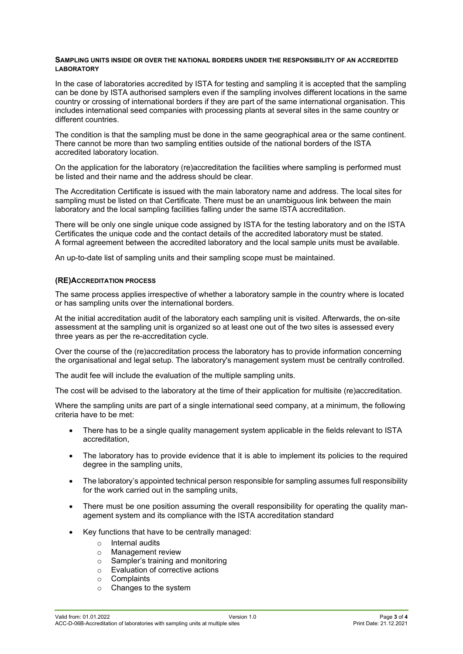#### **SAMPLING UNITS INSIDE OR OVER THE NATIONAL BORDERS UNDER THE RESPONSIBILITY OF AN ACCREDITED LABORATORY**

In the case of laboratories accredited by ISTA for testing and sampling it is accepted that the sampling can be done by ISTA authorised samplers even if the sampling involves different locations in the same country or crossing of international borders if they are part of the same international organisation. This includes international seed companies with processing plants at several sites in the same country or different countries.

The condition is that the sampling must be done in the same geographical area or the same continent. There cannot be more than two sampling entities outside of the national borders of the ISTA accredited laboratory location.

On the application for the laboratory (re)accreditation the facilities where sampling is performed must be listed and their name and the address should be clear.

The Accreditation Certificate is issued with the main laboratory name and address. The local sites for sampling must be listed on that Certificate. There must be an unambiguous link between the main laboratory and the local sampling facilities falling under the same ISTA accreditation.

There will be only one single unique code assigned by ISTA for the testing laboratory and on the ISTA Certificates the unique code and the contact details of the accredited laboratory must be stated. A formal agreement between the accredited laboratory and the local sample units must be available.

An up-to-date list of sampling units and their sampling scope must be maintained.

#### **(RE)ACCREDITATION PROCESS**

The same process applies irrespective of whether a laboratory sample in the country where is located or has sampling units over the international borders.

At the initial accreditation audit of the laboratory each sampling unit is visited. Afterwards, the on-site assessment at the sampling unit is organized so at least one out of the two sites is assessed every three years as per the re-accreditation cycle.

Over the course of the (re)accreditation process the laboratory has to provide information concerning the organisational and legal setup. The laboratory's management system must be centrally controlled.

The audit fee will include the evaluation of the multiple sampling units.

The cost will be advised to the laboratory at the time of their application for multisite (re)accreditation.

Where the sampling units are part of a single international seed company, at a minimum, the following criteria have to be met:

- There has to be a single quality management system applicable in the fields relevant to ISTA accreditation,
- The laboratory has to provide evidence that it is able to implement its policies to the required degree in the sampling units,
- The laboratory's appointed technical person responsible for sampling assumes full responsibility for the work carried out in the sampling units,
- There must be one position assuming the overall responsibility for operating the quality management system and its compliance with the ISTA accreditation standard
- Key functions that have to be centrally managed:
	- $\circ$  Internal audits<br> $\circ$  Management r
	- Management review
	- $\circ$  Sampler's training and monitoring<br> $\circ$  Evaluation of corrective actions
	- Evaluation of corrective actions
	- o Complaints
	- o Changes to the system